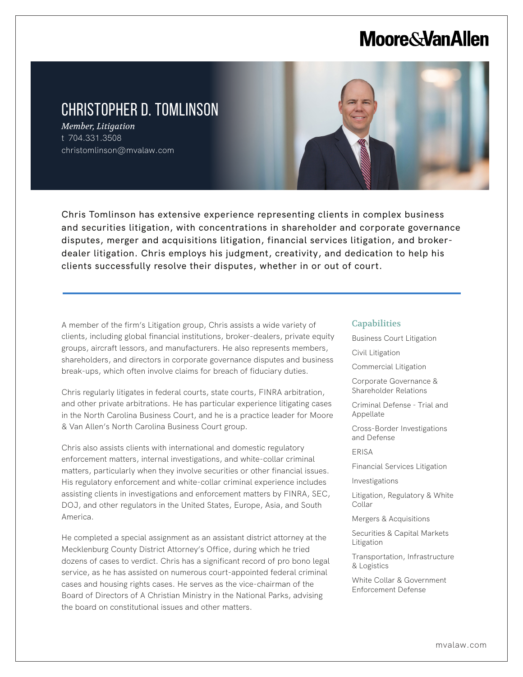# **Moore & Van Allen**

## CHRISTOPHER D. TOMLINSON

*Member, Litigation* t 704.331.3508 christomlinson@mvalaw.com

L



Chris Tomlinson has extensive experience representing clients in complex business and securities litigation, with concentrations in shareholder and corporate governance disputes, merger and acquisitions litigation, financial services litigation, and brokerdealer litigation. Chris employs his judgment, creativity, and dedication to help his clients successfully resolve their disputes, whether in or out of court.

A member of the firm's Litigation group, Chris assists a wide variety of clients, including global financial institutions, broker-dealers, private equity groups, aircraft lessors, and manufacturers. He also represents members, shareholders, and directors in corporate governance disputes and business break-ups, which often involve claims for breach of fiduciary duties.

Chris regularly litigates in federal courts, state courts, FINRA arbitration, and other private arbitrations. He has particular experience litigating cases in the North Carolina Business Court, and he is a practice leader for Moore & Van Allen's North Carolina Business Court group.

Chris also assists clients with international and domestic regulatory enforcement matters, internal investigations, and white-collar criminal matters, particularly when they involve securities or other financial issues. His regulatory enforcement and white-collar criminal experience includes assisting clients in investigations and enforcement matters by FINRA, SEC, DOJ, and other regulators in the United States, Europe, Asia, and South America.

He completed a special assignment as an assistant district attorney at the Mecklenburg County District Attorney's Office, during which he tried dozens of cases to verdict. Chris has a significant record of pro bono legal service, as he has assisted on numerous court-appointed federal criminal cases and housing rights cases. He serves as the vice-chairman of the Board of Directors of A Christian Ministry in the National Parks, advising the board on constitutional issues and other matters.

#### **Capabilities**

- Business Court Litigation
- Civil Litigation
- Commercial Litigation
- Corporate Governance & Shareholder Relations
- Criminal Defense Trial and Appellate
- Cross-Border Investigations and Defense

ERISA

Financial Services Litigation

Investigations

Litigation, Regulatory & White Collar

Mergers & Acquisitions

Securities & Capital Markets Litigation

Transportation, Infrastructure & Logistics

White Collar & Government Enforcement Defense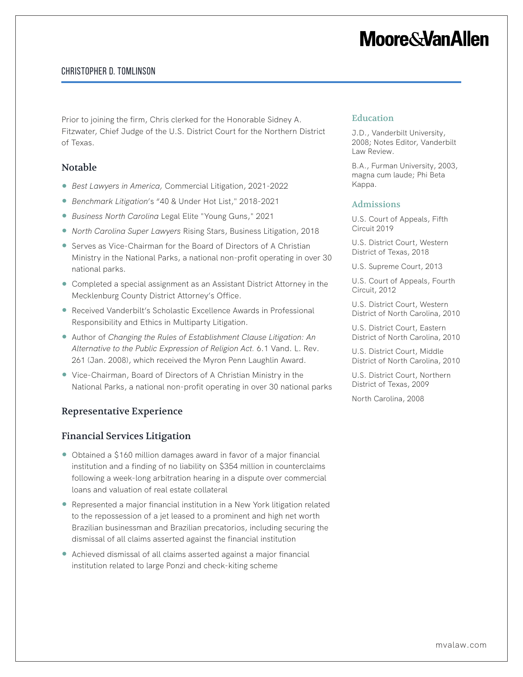# **Moore&VanAllen**

### Christopher D. Tomlinson

Prior to joining the firm, Chris clerked for the Honorable Sidney A. Fitzwater, Chief Judge of the U.S. District Court for the Northern District of Texas.

#### Notable

- *Best Lawyers in America,* Commercial Litigation, 2021-2022
- *Benchmark Litigation*'s "40 & Under Hot List," 2018-2021
- *Business North Carolina* Legal Elite "Young Guns," 2021
- *North Carolina Super Lawyers Rising Stars, Business Litigation, 2018*
- Serves as Vice-Chairman for the Board of Directors of A Christian Ministry in the National Parks, a national non-profit operating in over 30 national parks.
- Completed a special assignment as an Assistant District Attorney in the Mecklenburg County District Attorney's Office.
- Received Vanderbilt's Scholastic Excellence Awards in Professional Responsibility and Ethics in Multiparty Litigation.
- Author of *Changing the Rules of Establishment Clause Litigation: An Alternative to the Public Expression of Religion Act.* 6.1 Vand. L. Rev. 261 (Jan. 2008), which received the Myron Penn Laughlin Award.
- Vice-Chairman, Board of Directors of A Christian Ministry in the National Parks, a national non-profit operating in over 30 national parks

### Representative Experience

#### Financial Services Litigation

- Obtained a \$160 million damages award in favor of a major financial institution and a finding of no liability on \$354 million in counterclaims following a week-long arbitration hearing in a dispute over commercial loans and valuation of real estate collateral
- Represented a major financial institution in a New York litigation related to the repossession of a jet leased to a prominent and high net worth Brazilian businessman and Brazilian precatorios, including securing the dismissal of all claims asserted against the financial institution
- Achieved dismissal of all claims asserted against a major financial institution related to large Ponzi and check-kiting scheme

#### Education

J.D., Vanderbilt University, 2008; Notes Editor, Vanderbilt Law Review.

B.A., Furman University, 2003, magna cum laude; Phi Beta Kappa.

#### Admissions

U.S. Court of Appeals, Fifth Circuit 2019

U.S. District Court, Western District of Texas, 2018

U.S. Supreme Court, 2013

U.S. Court of Appeals, Fourth Circuit, 2012

U.S. District Court, Western District of North Carolina, 2010

U.S. District Court, Eastern District of North Carolina, 2010

U.S. District Court, Middle District of North Carolina, 2010

U.S. District Court, Northern District of Texas, 2009

North Carolina, 2008